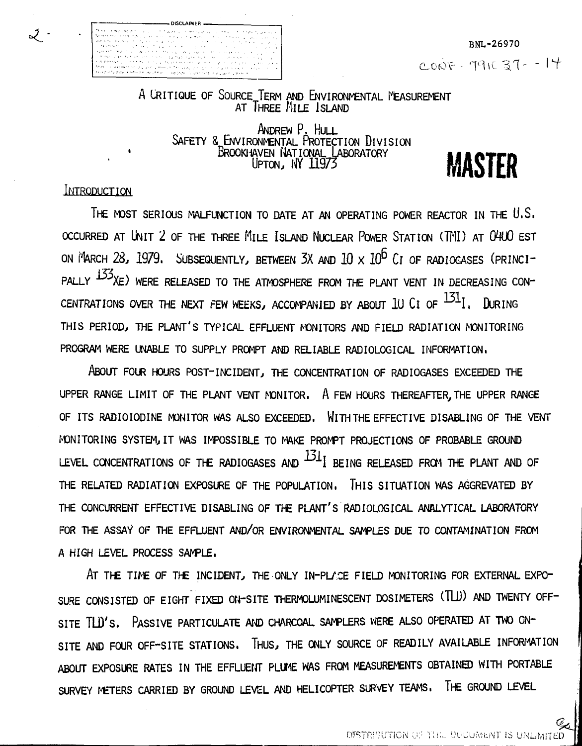BNL-26970 CONF - 7916 37 - - 14

A CRITIQUE OF SOURCE IERM AND ENVIRONMENTAL l'EASUREMENT AT THREE MILE ISLAND

> ANDREW P. HULL SAFETY & ENVIRONMENTAL PROTECTION DIVISION BROOKHAVEN NATIONAL LABORATORY **18 ACTED**

> > UP™, NV 11973 MASTER<br>UP™, NV 11973 MASTER

#### INTRODUCTION

⊋ ∙

THE MOST SERIOUS MALFUNCTION TO DATE AT AN OPERATING POWER REACTOR IN THE U.S. **OCCURRED AT UNIT 2 OF THE THREE FIlLE ISLAND NUCLEAR POWER STATION (TMI) AT (WUO EST** ON MARCH 28, 1979. SUBSEQUENTLY, BETWEEN 3X AND  $10 \times 10^6$  CI OF RADIOGASES (PRINCI-PALLY  $^{155}$ XE) WERE RELEASED TO THE ATMOSPHERE FROM THE PLANT VENT IN DECREASING CON-CENTRATIONS OVER THE NEXT FEW WEEKS, ACCOMPANIED BY ABOUT 1U CI OF  $^{131}$ I. DURING THIS PERIOD, THE PLANT'S TYPICAL EFFLUENT MONITORS AND FIELD RADIATION MONITORING PROGRAM WERE UNABLE TO SUPPLY PROMPT AND RELIABLE RADIOLOGICAL INFORMATION.

ABOUT FOUR HOURS POST-INCIDENT, THE CONCENTRATION OF RADIOGASES EXCEEDED THE UPPER RANGE LIMIT OF THE PLANT VENT MONITOR. A FEW HOURS THEREAFTER, THE UPPER RANGE OF ITS RADIOIODINE MONITOR WAS ALSO EXCEEDED. WLTHTHE EFFECTIVE DISABLING OF THE VENT MONITORING SYSTEM,IT WAS IMPOSSIBLE TO MAKE PROMPT PROJECTIONS OF PROBABLE GROUND LEVEL CONCENTRATIONS OF THE RADIOGASES AND  $^{131}$  BEING RELEASED FROM THE PLANT AND OF THE RELATED RADIATION EXPOSURE OF THE POPULATION. THIS SITUATION WAS AGGREVATED BY THE CONCURRENT EFFECTIVE DISABLING OF THE PLANT'S RADIOLOGICAL ANALYTICAL LABORATORY FOR THE ASSAY OF THE EFFLUENT AND/OR ENVIRONMENTAL SAMPLES DUE TO CONTAMINATION FROM A HIGH LEVEL PROCESS SAMPLE.

AT THE TIME OF THE INCIDENT, THE ONLY IN-PLACE FIELD MONITORING FOR EXTERNAL EXPO-SURE CONSISTED OF EIGHT FIXED ON-SITE THERMOLUMINESCENT DOSIMETERS (TLU) AND TWENTY OFF-SITE TLD'S. PASSIVE PARTICULATE AND CHARCOAL SAMPLERS WERE ALSO OPERATED AT TWO ON-SITE AND FOUR OFF-SITE STATIONS. THUS, THE ONLY SOURCE OF READILY AVAILABLE INFORMATION ABOUT EXPOSURE RATES IN THE EFFLUENT PLUME WAS FROM MEASUREMENTS OBTAINED WITH PORTABLE **SURVEY METERS CARRIED BY GROUND LEVEL AND HELICOPTER SURVEY TEAMS. THE GROUND LEVEL**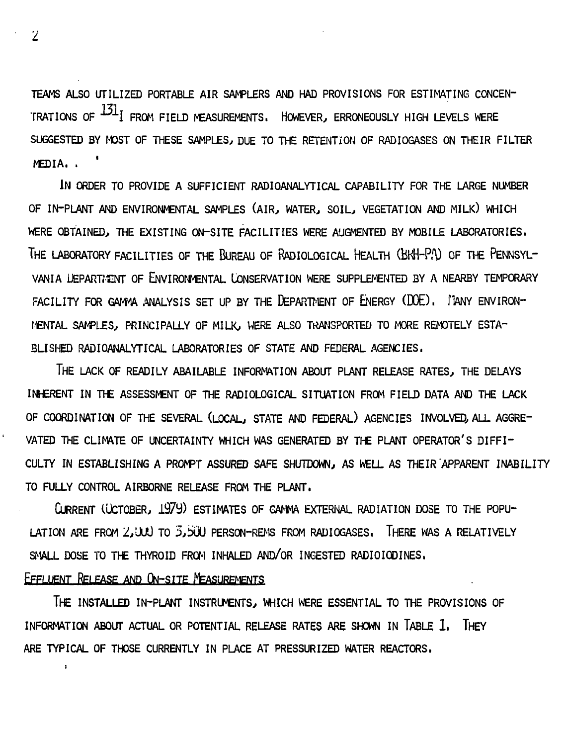TEAMS ALSO UTILIZED PORTABLE AIR SAMPLERS AND HAD PROVISIONS FOR ESTIMATING CONCEN-TRATIONS OF  $^{131}$  FROM FIELD MEASUREMENTS. HOWEVER, ERRONEOUSLY HIGH LEVELS WERE SUGGESTED BY MOST OF THESE SAMPLES, DUE TO THE RETENTION OF RADIOGASES ON THEIR FILTER MEDIA. . '

**IN ORDER TO PROVIDE A SUFFICIENT RADIO-ANALYTICAL CAPABILITY FOR THE LARGE NUMBER OF IN-PLANT AND ENVIRONMENTAL SAMPLES (AIR, WATER., SOIL, VEGETATION AND MILK) WHICH WERE OBTAINED, THE EXISTING ON-SITE FACILITIES WERE AUGMENTED BY MOBILE LABORATORIES. THE LABORATORY FACILITIES OF THE BUREAU OF RADIOLOGICAL HEALTH (BKH-PA) OF THE PENNSYL-**VANIA LIEPARTMENT OF ENVIRONMENTAL LONSERVATION WERE SUPPLEMENTED BY A NEARBY TEMPORARY FACILITY FOR GAMMA ANALYSIS SET UP BY THE DEPARTMENT OF ENERGY (DOE). FANY ENVIRON-**MENTAL SAMPL£3, PRINCIPALLY OF MILK, WERE ALSO TRANSPORTED TO MORE REMOTELY ESTA-BLISHED RADIOANALYTICAL LABORATORIES OF STATE AND FEDERAL AGENCIES.**

**THE LACK OF READILY ABAILABLE INFORMATION ABOUT PLANT RELEASE RATES, THE DELAYS INHERENT IN THE ASSESSMENT OF THE RADIOLOGICAL SITUATION FROM FIELD DATA AND THE LACK OF COORDINATION OF THE SEVERAL (LOCAL, STATE AND FEDERAL) AGENCIES INVOLVED, ALL AGGRE"** VATED THE CLIMATE OF UNCERTAINTY WHICH WAS GENERATED BY THE PLANT OPERATOR'S DIFFI-CULTY IN ESTABLISHING A PROMPT ASSURED SAFE SHUTDOWN, AS WELL AS THEIR APPARENT INABILITY **TO FULLY CONTROL AIRBORNE RELEASE FROM THE PLANT.**

CURRENT (CCTOBER, 1979) ESTIMATES OF CAMMA EXTERNAL RADIATION DOSE TO THE POPU-**LATION ARE FROM 2/dJO TO 3,ixJU PERSCN-REMS FROM RADIOGASES. THERE WAS A RELATIVELY** SMALL DOSE TO THE THYROID FROM INHALED AND/OR INGESTED RADIOIODINES.

## **EFFLUENT RELEASE AND ON-SITE MEASUREMENTS**

 $\ddot{\phantom{a}}$ 

**THE INSTALLED IN-PLANT INSTRUMENTS, WHICH WERE ESSENTIAL TO THE PROVISIONS OF INFORMATION ABOUT ACTUAL OR POTENTIAL RELEASE RATES ARE SHOWN IN TABLE 1. THEY ARE TYPICAL OF THOSE CURRENTLY IN PLACE AT PRESSURIZED WATER REACTORS,**

 $\overline{Z}$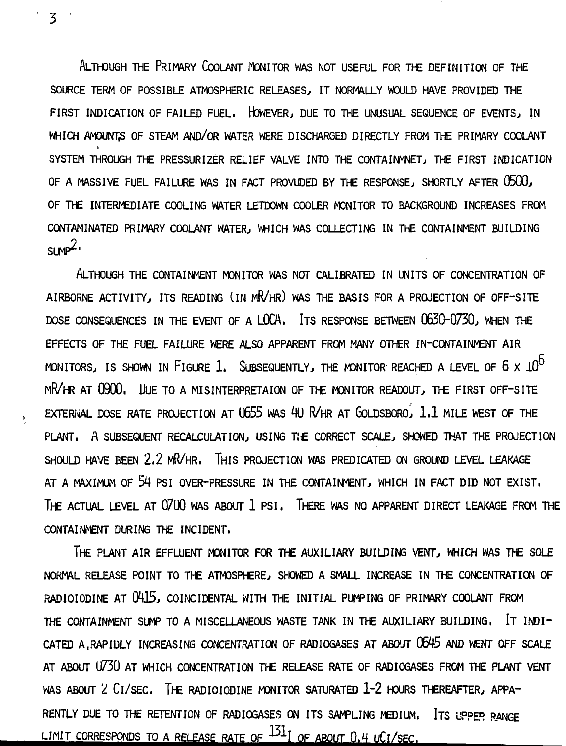ALTHOUGH THE PRIMARY COOLANT MONITOR WAS NOT USEFUL FOR THE DEFINITION OF THE **SOURCE TERM OF POSSIBLE ATMOSPHERIC RELEASES, IT NORMALLY WOULD HAVE PROVIDED THE FIRST INDICATION OF FAILED FUEL. HOWEVER, DUE TO THE UNUSUAL SEQUENCE OF EVENTS, IN WHICH AMOUNTS OF STEAM AND/OR WATER WERE DISCHARGED DIRECTLY FROM THE PRIMARY COOLANT SYSTEM THROUGH THE PRESSURIZER RELIEF VALVE INTO THE CONTAINMNET, THE FIRST INDICATION OF A MASSIVE FUEL FAILURE WAS IN FACT PROVUDED BY THE RESPONSE, SHORTLY AFTER 0500, OF THE INTERMEDIATE COOLING WATER LETDOWN COOLER MONITOR TO BACKGROUND INCREASES FROM CONTAMINATED PRIMARY COOLANT WATER, WHICH WAS COLLECTING IN THE CONTAINMENT BUILDING**  $sum^2$ 

**ALTHOUGH THE CONTAINMENT MONITOR WAS NOT CALIBRATED IN UNITS OF CONCENTRATION OF** AIRBORNE ACTIVITY, ITS READING (IN MR/HR ) WAS THE BASIS FOR A PROJECTION OF OFF-SITE DOSE CONSEQUENCES IN THE EVENT OF A LOCA. ITS RESPONSE BETWEEN 0630-0730, WHEN THE EFFECTS OF THE FUEL FAILURE WERE ALSO APPARENT FROM MANY OTHER IN-CONTAINMENT AIR MONITORS, IS SHOWN IN FIGURE 1. SUBSEQUENTLY, THE MONITOR REACHED A LEVEL OF  $6 \times 10^{6}$ MR/HR AT 0900, LIVE TO A MISINTERPRETAION OF THE MONITOR READOUT, THE FIRST OFF-SITE EXTERIVAL DOSE RATE PROJECTION AT U655 WAS 4U R/HR AT GOLDSBORO, 1.1 MILE WEST OF THE PLANT, A SUBSEQUENT RECALCULATION, USING THE CORRECT SCALE, SHOWED THAT THE PROJECTION SHOULD HAVE BEEN 2.2 MR/HR. THIS PROJECTION WAS PREDICATED ON GROUND LEVEL LEAKAGE AT A MAXIMUM OF 54 PSI OVER-PRESSURE IN THE CONTAINMENT, WHICH IN FACT DID NOT EXIST. THE ACTUAL LEVEL AT 0700 WAS ABOUT 1 PSI. THERE WAS NO APPARENT DIRECT LEAKAGE FROM THE **THE ACTUAL LEVEL AT 07U0 WAS ABOUT 1 PSI. THERE WAS NO APPARENT DIRECT LEAKAGE FROM THE**

THE PLANT AIR EFFLUENT MONITOR FOR THE AUXILIARY BUILDING VENT, WHICH WAS THE SOLE NORMAL RELEASE POINT TO THE ATMOSPHERE, SHOWED A SMALL INCREASE IN THE CONCENTRATION OF RADIOIODINE AT 0415, COINCIDENTAL WITH THE INITIAL PUMPING OF PRIMARY COOLANT FROM THE CONTAINMENT SUMP TO A MISCELLANEOUS WASTE TANK IN THE AUXILIARY BUILDING, IT INDI-CATED A RAPIDLY INCREASING CONCENTRATION OF RADIOGASES AT ABOUT 0645 AND WENT OFF SCALE AT ABOUT U730 AT WHICH CONCENTRATION THE RELEASE RATE OF RADIOGASES FROM THE PLANT VENT WAS ABOUT 2 CI/SEC. THE RADIOIODINE MONITOR SATURATED 1-2 HOURS THEREAFTER, APPA-RENTLY DUE TO THE RETENTION OF RADIOGASES ON ITS SAMPLING MEDIUM. ITS UPPER RANGE  $R$ ENTLOOD TO THE RETENTION OF RADIOGRAPHS ON ITS SAMPLING MEDIUM. ITS SAMPLING MEDIUM. ITS UPPER RANGE

LIMIT CORRESPONDS TO A RELEASE RATE OF A H LIMIT OF ABOUT 0.4

**3**

Ų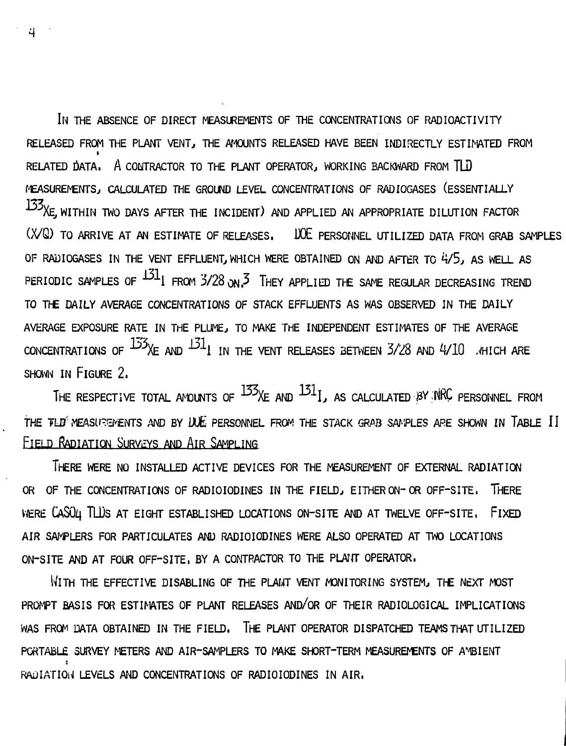**IN THE ABSENCE OF DIRECT MEASUREMENTS OF THE CONCENTRATIONS OF RADIOACTIVITY RELEASED FROM THE PLANT VENT, THE AMOUNTS RELEASED HAVE BEEN INDIRECTLY ESTIMATED FROM** RELATED DATA. A CONTRACTOR TO THE PLANT OPERATOR, WORKING BACKWARD FROM TLD MEASUREMENTS, CALCULATED THE GROUND LEVEL CONCENTRATIONS OF RADIOGASES (ESSENTIALLY 133<sub>XE,</sub> WITHIN TWO DAYS AFTER THE INCIDENT) AND APPLIED AN APPROPRIATE DILUTION FACTOR (X/Q) TO ARRIVE AT AN ESTIMATE OF RELEASES. UDE PERSONNEL UTILIZED DATA FROM GRAB SAMPLES OF RADIOGASES IN THE VENT EFFLUENT, WHICH WERE OBTAINED ON AND AFTER TO 4/5, AS WELL AS PERIODIC SAMPLES OF  $^{131}$  FROM 3/28  $_{on}$ 3. They applied the same regular decreasing trend TO THE DAILY AVERAGE CONCENTRATIONS OF STACK EFFLUENTS AS WAS OBSERVED IN THE DAILY AVERAGE EXPOSURE RATE IN THE PLUME, TO MAKE THE INDEPENDENT ESTIMATES OF THE AVERAGE CONCENTRATIONS OF  $13\frac{13}{10}$  and  $13\frac{1}{10}$  in the vent releases between  $3/28$  and  $4/10$ . Thich are  $S$  HOWN IN FIGURE  $2$ .

THE RESPECTIVE TOTAL ANOUNTS OF  $^{133}X$ E AND  $^{131}I$ , as calculated BY NRC PERSONNEL FROM THE FLO MEASUREMENTS AND BY LULE PERSONNEL FROM THE STACK GRAB SAMPLES ARE SHOWN IN TABLE II  $T_{\text{max}}$   $\alpha$  is a stack  $\alpha$  is a stack grap samples are shown in table in table in table in table in table in table in table in table in table in table in table in table in table in table in table in table in table in **FIELD RADIATION SURVEYS AND AIR SAMPLING**

**THERE WERE NO INSTALLED ACTIVE DEVICES FOR THE MEASUREMENT OF EXTERNAL RADIATION OR OF THE CONCENTRATIONS OF RADIOIODINES IN THE FIELD, EITHER ON-OR OFF-SITE. THERE** WERE CASU4 TLUS AT EIGHT ESTABLISHED LOCATIONS ON-SITE AND AT TWELVE OFF-SITE, FIXED **AIR SAMPLERS FOR PARTICULATES AND RADIOIODINES WERE ALSO OPERATED AT TWO LOCATIONS ON-SITE AND AT FOUR OFF-SITE. BY A CONTRACTOR TO THE PLANT OPERATOR.**

**WITH THE EFFECTIVE DISABLING OF THE PLANT VENT MONITORING SYSTEM, THE NEXT MOST PROMPT BASIS FOR ESTIMATES OF PLANT RELEASES AND/OR OF THEIR RADIOLOGICAL IMPLICATIONS WAS FROM DATA OBTAINED IN THE FIELD. THE PLANT OPERATOR DISPATCHED TEAMS THAT UTILIZED PORTABLE SURVEY METERS AND AIR-SAMPLERS TO MAKE SHORT-TERM MEASUREMENTS OF A\*4BIENT** RADIATION LEVELS AND CONCENTRATIONS OF RADIOIODINES IN AIR.

4.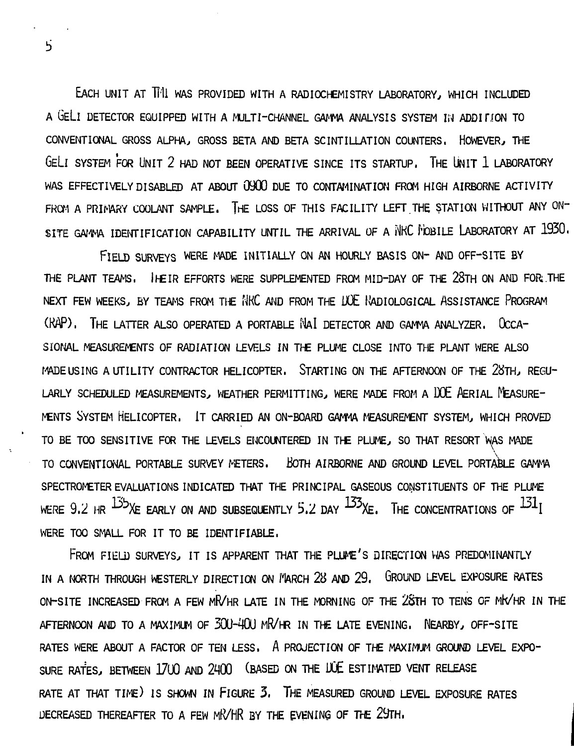EACH UNIT AT Till WAS PROVIDED WITH A RADIOCHEMISTRY LABORATORY, WHICH INCLUDED A GELI DETECTOR EQUIPPED WITH A MULTI-CHANNEL GAMMA ANALYSIS SYSTEM IN ADDIHON TO CONVENTIONAL GROSS ALPHA, GROSS BETA AND BETA SCINTILLATION COUNTERS. HOWEVER, THE GELI SYSTEM FOR UNIT 2 HAD NOT BEEN OPERATIVE SINCE ITS STARTUP. THE UNIT 1 LABORATORY WAS EFFECTIVELY DISABLED AT ABOUT  $0900$  DUE TO CONTAMINATION FROM HIGH AIRBORNE ACTIVITY FROM A PRIMARY COOLANT SAMPLE. THE LOSS OF THIS FACILITY LEFT THE STATION WITHOUT ANY ON-SITE GAMMA IDENTIFICATION CAPABILITY UNTIL THE ARRIVAL OF A NKC MOBILE LABORATORY AT 1930.

FIELD SURVEYS WERE MADE INITIALLY ON AN HOURLY BASIS ON- AND OFF-SITE BY THE PLANT TEAMS. IHEIR EFFORTS WERE SUPPLEMENTED FROM MID-DAY OF THE 28TH ON AND FOR;THE NEXT FEW WEEKS, BY TEAMS FROM THE NKC AND FROM THE DOE IVADIOLOGICAL ASSISTANCE PROGRAM (HAP). THE LATTER ALSO OPERATED A PORTABLE NAI DETECTOR AND GAMMA ANALYZER. OCCA-SIONAL MEASUREMENTS OF RADIATION LEVELS IN THE PLUME CLOSE INTO THE PLANT WERE ALSO MADE USING A UTILITY CONTRACTOR HELICOPTER. STARTING ON THE AFTERNOON OF THE 28TH, REGU-LARLY SCHEDULED MEASUREMENTS, WEATHER PERMITTING, WERE MADE FROM A DOE AERIAL MEASURE-MENTS SYSTEM HELICOPTER. IT CARRIED AN ON-BOARD GAMMA MEASUREMENT SYSTEM, WHICH PROVED TO BE TOO SENSITIVE FOR THE LEVELS ENCOUNTERED IN THE PLUME, SO THAT RESORT WAS MADE TO CONVENTIONAL PORTABLE SURVEY METERS. BOTH AIRBORNE AND GROUND LEVEL PORTABLE GAMMA SPECTROMETER EVALUATIONS INDICATED THAT THE PRINCIPAL GASEOUS CONSTITUENTS OF THE PLUME WERE 9.2 HR  $^{135}$ XE EARLY ON AND SUBSEQUENTLY 5.2 DAY  $^{133}$ XE. THE CONCENTRATIONS OF  $^{131}$ I WERE TOO SMALL FOR IT TO BE IDENTIFIABLE.

FROM FIELD SURVEYS, IT IS APPARENT THAT THE PLUME'S DIRECTION WAS PREDOMINANTLY IN A NORTH THROUGH WESTERLY DIRECTION ON MARCH 28 AND 29. GROUND LEVEL EXPOSURE RATES ON-SITE INCREASED FROM A FEW MR/HR LATE IN THE MORNING OF THE 2&TH TO TENS OF MK/HR IN THE AFTERNOON AND TO A MAXIMUM OF 300-400 MR/HR IN THE LATE EVENING. NEARBY, OFF-SITE RATES WERE ABOUT A FACTOR OF TEN LESS. A PROJECTION OF THE MAXIMUM GROUND LEVEL EXPO-SURE RATES, BETWEEN 1700 AND 2400 (BASED ON THE LUE ESTIMATED VENT RELEASE RATE AT THAT TIME) IS SHOWN IN FIGURE 3. THE MEASURED GROUND LEVEL EXPOSURE RATES DECREASED THEREAFTER TO A FEW MR/HR BY THE EVENING OF THE 29TH.

 $\overline{5}$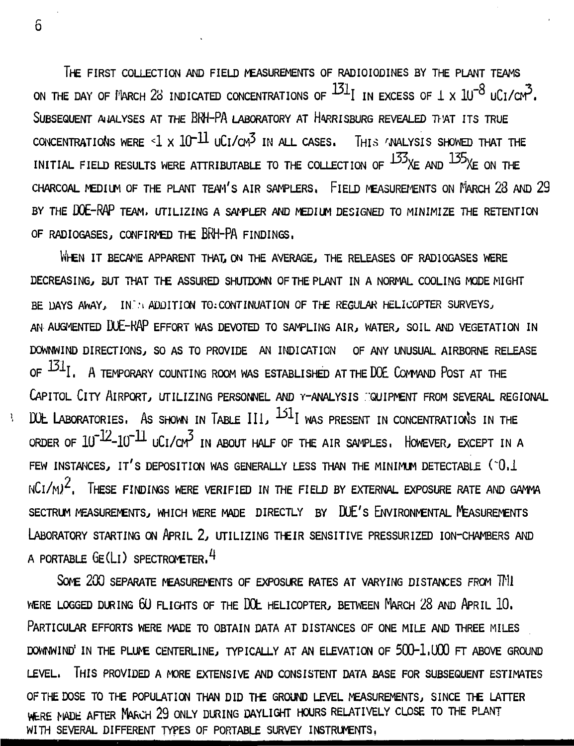**THE FIRST COLLECTION AND FIELD MEASUREMENTS OF RADIOIODINES BY THE PLANT TEAMS** ON THE DAY OF MARCH 28 INDICATED CONCENTRATIONS OF  $^{131}$ I IN EXCESS OF 1 X  $10^{-8}$  UCI/CM<sup>3</sup>**. SUBSEQUENT ANALYSES AT THE BRH-PA LABORATORY AT HARRISBURG REVEALED THAT ITS TRUE** CONCENTRATIONS WERE  $\leq 1 \times 10^{-11}$  uCl/CM<sup>3</sup> IN ALL CASES. THIS 'JNALYSIS SHOWED THAT THE INITIAL FIELD RESULTS WERE ATTRIBUTABLE TO THE COLLECTION OF  $^{133}$ XE AND  $^{135}$ XE ON THE **CHARCOAL MEDIUM OF THE PLANT TEAM'S AIR SAMPLERS, FLELD MEASUREMENTS ON MARCH 23 AND 29 BY THE DOE-RAP TEAM. UTILIZING A SAMPLER AND MEDIUM DESIGNED TO MINIMIZE THE RETENTION OF RADIOGASES, CONFIRMED THE BRH~PA FINDINGS.**

**WHEN IT BECAME APPARENT THAT, ON THE AVERAGE, THE RELEASES OF RADIOGASES WERE DECREASING,, BUT THAT THE ASSURED SHUTDOWN OF THE PLANT IN A NORMAL COOLING MODE MIGHT BE DAYS AWAY, IN.'.'I ADDITION TO CONTINUATION OF THE REGULAR HELICOPTER SURVEYS, AN AUGMENTED DUE-HAP EFFORT WAS DEVOTED TO SAMPLING AIR, WATER, SOIL AND VEGETATION IN DOWNWIND DIRECTIONS, SO AS TO PROVIDE AN INDICATION OF ANY UNUSUAL AIRBORNE RELEASE** OF  $^{131}I$ . A TEMPORARY COUNTING ROOM WAS ESTABLISHED AT THE DOE COMMAND POST AT THE CAPITOL CITY AIRPORT, UTILIZING PERSONNEL AND Y-ANALYSIS **COUIPMENT FROM SEVERAL REGIONAL** DOL LABORATORIES. AS SHOWN IN TABLE III,  $^{151}$ I was present in concentration's in the ORDER OF  $10^{-12}$ - $10^{-11}$   $10C$  $1/cm^3$  in ABOUT HALF OF THE AIR SAMPLES, HOWEVER, EXCEPT IN A FEW INSTANCES, IT'S DEPOSITION WAS GENERALLY LESS THAN THE MINIMUM DETECTABLE (°O.1  $NCI/M^2$ . THESE FINDINGS WERE VERIFIED IN THE FIELD BY EXTERNAL EXPOSURE RATE AND GAMMA **SECTRUM MEASUREMENTS, WHICH WERE MADE DIRECTLY BY DUE'S ENVIRONMENTAL MEASUREMENTS LABORATORY STARTING ON APRIL 2, UTILIZING THEIR SENSITIVE PRESSURIZED ION-CHAMBERS AND A PORTABLE GE(LL) SPECTROMETER.^**

SOME 200 SEPARATE MEASUREMENTS OF EXPOSURE RATES AT VARYING DISTANCES FROM TML **WERE LOGGED DURING 6(J FLIGHTS OF THE DOL HELICOPTER, BETWEEN MARCH 28 AND APRIL 10. PARTICULAR EFFORTS WERE MADE TO OBTAIN DATA AT DISTANCES OF ONE MILE AND THREE MILES DOWNWIND' IN THE PLUME CENTERLINE, TYPICALLY AT AN ELEVATION OF 500-1.U00 FT ABOVE GROUND LEVEL. THIS PROVIDED A MORE EXTENSIVE AND CONSISTENT DATA BASE FOR SUBSEQUENT ESTIMATES OF THE DOSE TO THE POPULATION THAN DID THE GROUND LEVEL MEASUREMENTS, SINCE THE LATTER** WERE MADE AFTER MARCH 29 ONLY DURING DAYLIGHT HOURS RELATIVELY CLOSE TO THE PLANT WITH SEVERAL DIFFERENT TYPES OF PORTABLE SURVEY INSTRUMENTS,

6

 $\mathbf{r}$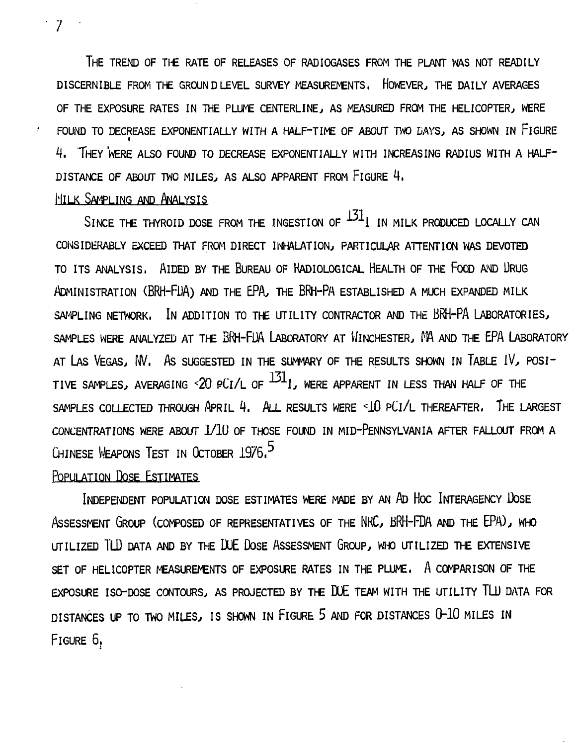**THE TREND OF THE RATE OF RELEASES OF RADIOGASES FROM THE PLANT WAS NOT READILY DISCERNIBLE FROM THE GROUND LEVEL SURVEY MEASUREMENTS. HOWEVER, THE DAILY AVERAGES OF THE EXPOSURE RATES IN THE PLUME CENTERLINE, AS MEASURED FROM THE HELICOPTER, WERE FOUND TO DECREASE EXPONENTIALLY WITH A HALF-TIME OF ABOUT TWO DAYS, AS SHOWN IN FIGURE <sup>L</sup>i. THEY 'WERE ALSO FOUND TO DECREASE EXPONENTIALLY WITH INCREASING RADIUS WITH A HALF-**DISTANCE OF ABOUT TWO MILES, AS ALSO APPARENT FROM FIGURE 4.

# **i'liLK SAMPLING AND ANALYSIS**

SINCE THE THYROID DOSE FROM THE INGESTION OF  $^{131}$  IN MILK PRODUCED LOCALLY CAN CONSIDERABLY EXCEED THAT FROM DIRECT INHALATION, PARTICULAR ATTENTION WAS DEVOTED TO ITS ANALYSIS. AIDED BY THE BUREAU OF KADIOLOGICAL HEALTH OF THE FOOD AND DRUG **ADMINISTRATION (BRH-FJJA) AND THE EPA, THE BRH-PA ESTABLISHED A MUCH EXPANDED MILK** SAMPLING NETWORK. IN ADDITION TO THE UTILITY CONTRACTOR AND THE BRH-PA LABORATORIES, SAMPLES WERE ANALYZED AT THE BRH-FUA LABORATORY AT WINCHESTER, MA AND THE EPA LABORATORY **AT LAS VEGAS, NV. AS SUGGESTED IN THE SUMMARY OF THE RESULTS SHOWN IN TABLE fV, POSI- -17-1** TIVE SAMPLES, AVERAGING <20 PCI/L OF "^l , WERE APPARENT IN LESS THAN HALF OF THE **SAMPLES COLLECTED THROUGH APRIL 4. ALL RESULTS WERE <1O PCL/L THEREAFTER, THE LARGEST CONCENTRATIONS WERE ABOUT 1/LU OF THOSE FOUND IN MID-PENNSYLVANIA AFTER FALLOUT FROM A CHINESE WEAPONS TEST IN OCTOBER 1976.**

# **POPULATION DOSE ESTIMATES**

**INDEPENDENT POPULATION DOSE ESTIMATES WERE MADE BY AN AD HOC INTERAGENCY DOSE ASSESSMENT GROUP (COMPOSED OF REPRESENTATIVES OF THE NKC, BRH-FDA AND THE EPA), WHO UTILIZED TLD DATA AND BY THE DUE DOSE ASSESSMENT GROUP, WHO UTILIZED THE EXTENSIVE SET OF HELICOPTER MEASUREMENTS OF EXPOSURE RATES IN THE PLUME. A COMPARISON OF THE EXPOSURE ISO-DOSE CONTOURS, AS PROJECTED BY THE DUE TEAM WITH THE UTILITY TLU DATA FOR DISTANCES UP TO TWO MILES, IS SHOWN IN FIGURE 5 AND FOR DISTANCES 0-10 MILES IN FIGURE 6.**

**7**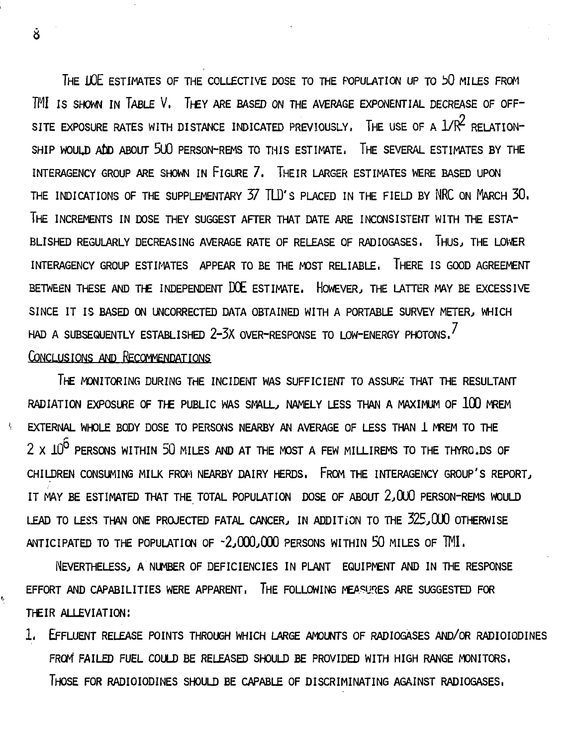THE UOE ESTIMATES OF THE COLLECTIVE DOSE TO THE POPULATION UP TO bO MILES FROM 7MI is SHOWN IN TABLE V. THEY ARE BASED ON THE AVERAGE EXPONENTIAL DECREASE OF OFF-SITE EXPOSURE RATES WITH DISTANCE INDICATED PREVIOUSLY. THE USE OF A  $1/R^2$  RELATION-SHIP WOULD ADD ABOUT 5UO PERSON-REMS TO THIS ESTIMATE. THE SEVERAL ESTIMATES BY THE INTERAGENCY GROUP ARE SHOWN IN FIGURE 7. THEIR LARGER ESTIMATES WERE BASED UPON THE INDICATIONS OF THE SUPPLEMENTARY  $37$  TID's placed in the field by NRC on March  $30$ . THE INCREMENTS IN DOSE THEY SUGGEST AFTER THAT DATE ARE INCONSISTENT WITH THE ESTA-BLISHED REGULARLY DECREASING AVERAGE RATE OF RELEASE OF RADIOGASES. THUS, THE LOWER INTERAGENCY GROUP ESTIMATES APPEAR TO BE THE MOST RELIABLE. THERE IS GOOD AGREEMENT BETWEEN THESE AND THE INDEPENDENT DOE ESTIMATE. HOWEVER, THE LATTER MAY BE EXCESSIVE SINCE IT IS BASED ON UNCORRECTED DATA OBTAINED WITH A PORTABLE SURVEY METER, WHICH HAD A SUBSEQUENTLY ESTABLISHED 2-3X OVER-RESPONSE TO LOW-ENERGY PHOTONS,

## CONCLUSIONS AND RECOMMENDATIONS

THE MONITORING DURING THE INCIDENT WAS SUFFICIENT TO ASSURE THAT THE RESULTANT RADIATION EXPOSURE OF THE PUBLIC WAS SMALL, NAMELY LESS THAN A MAXIMUM OF 100 MREM EXTERNAL WHOLE BODY DOSE TO PERSONS NEARBY AN AVERAGE OF LESS THAN I MREM TO THE  $2 \times 10^{6}$  persons within 50 miles and at the most a few millirems to the thyro. Ds of CHILDREN CONSUMING MILK FROM NEARBY DAIRY HERDS. FROM THE INTERAGENCY GROUP'S REPORT, IT MAY BE ESTIMATED THAT THE TOTAL POPULATION DOSE OF ABOUT 2,000 PERSON-REMS WOULD LEAD TO LESS THAN ONE PROJECTED FATAL CANCER, IN ADDITION TO THE 325,0U0 OTHERWISE ANTICIPATED TO THE POPULATION OF  $-2,000,000$  persons within 50 miles of TMI.

NEVERTHELESS, A NUMBER OF DEFICIENCIES IN PLANT EQUIPMENT AND IN THE RESPONSE EFFORT AND CAPABILITIES WERE APPARENT. THE FOLLOWING MEASURES ARE SUGGESTED FOR THEIR ALLEVIATION:

1. EFFLUENT RELEASE POINTS THROUGH WHICH LARGE AMOUNTS OF RADIOGASES AND/OR RADIOIODINES FROM<sup>1</sup> FAILED FUEL COULD BE RELEASED SHOULD BE PROVIDED WITH HIGH RANGE MONITORS. THOSE FOR RADIOIODINES SHOULD BE CAPABLE OF DISCRIMINATING AGAINST RADIOGASES,

 $\mathbf{\hat{8}}$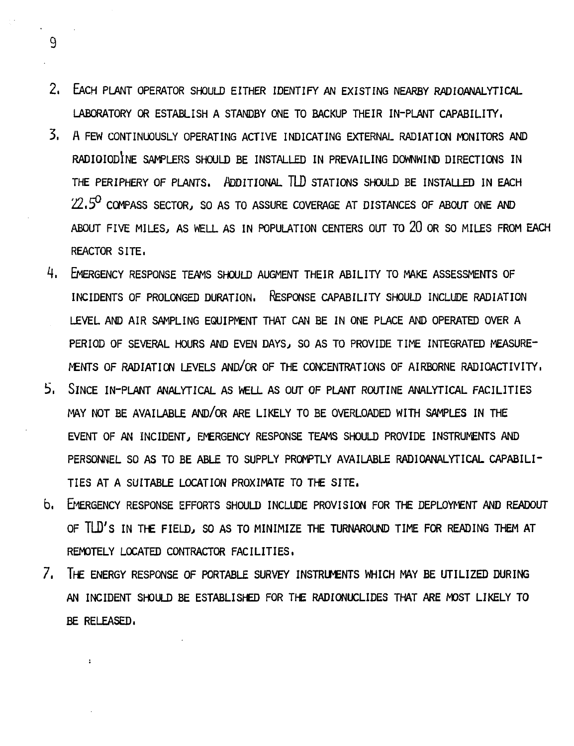- **2. EACH PLANT OPERATOR SHOULD EITHER IDENTIFY AN EXISTING NEARBY RADIOANALYTICAL LABORATORY OR ESTABLISH A STANDBY ONE TO BACKUP THEIR IN-PLANT CAPABILITY.**
- 3. A FEW CONTINUOUSLY OPERATING ACTIVE INDICATING EXTERNAL RADIATION MONITORS AND **RADIOIODINE SAMPLERS SHOULD BE INSTALLED IN PREVAILING DOWNWIND DIRECTIONS IN** THE PERIPHERY OF PLANTS. ADDITIONAL TLD STATIONS SHOULD BE INSTALLED IN EACH **22.5° COMPASS SECTOR, SO AS TO ASSURE COVERAGE AT DISTANCES OF ABOUT ONE AND ABOUT FIVE MILES, AS WELL AS IN POPULATION CENTERS OUT TO 20 OR SO MILES FROM EACH REACTOR SITE,**
- **4. EMERGENCY RESPONSE TEAMS SHOULD AUGMENT THEIR ABILITY TO MAKE ASSESSMENTS OF INCIDENTS OF PROLONGED DURATION. RESPONSE CAPABILITY SHOULD INCLUDE RADIATION LEVEL AND AIR SAMPLING EQUIPMENT THAT CAN BE IN ONE PLACE AND OPERATED OVER A PERIOD OF SEVERAL HOURS AND EVEN DAYS, SO AS TO PROVIDE TIME INTEGRATED MEASURE-MENTS OF RADIATION LEVELS AND/OR OF THE CONCENTRATIONS OF AIRBORNE RADIOACTIVITY,**
- **i>, SINCE IN-PLANT ANALYTICAL AS WELL AS OUT OF PLANT ROUTINE ANALYTICAL FACILITIES MAY NOT BE AVAILABLE AND/OR ARE LIKELY TO BE OVERLOADED WITH SAMPLES IN THE** EVENT OF AN INCIDENT, EMERGENCY RESPONSE TEAMS SHOULD PROVIDE INSTRUMENTS AND **PERSONNEL SO AS TO BE ABLE TO SUPPLY PROMPTLY AVAILABLE RADIOANALYTICAL CAPABILI-TIES AT A SUITABLE LOCATION PROXIMATE TO THE SITE.**
- **b. EMERGENCY RESPONSE EFFORTS SHOULD INCLUDE PROVISION FOR THE DEPLOYMENT AND READOUT OF TLD'S IN THE FIELD, SO AS TO MINIMIZE THE TURNAROUND TIME FOR READING THEM AT REMOTELY LOCATED CONTRACTOR FACILITIES.**
- **7. THE ENERGY RESPONSE OF PORTABLE SURVEY INSTRUMENTS WHICH MAY BE UTILIZED DURING AN INCIDENT SHOULD BE ESTABLISHED FOR THE RADIONUCLIDES THAT ARE MOST LIKELY TO BE RELEASED.**

 $\ddot{\phantom{a}}$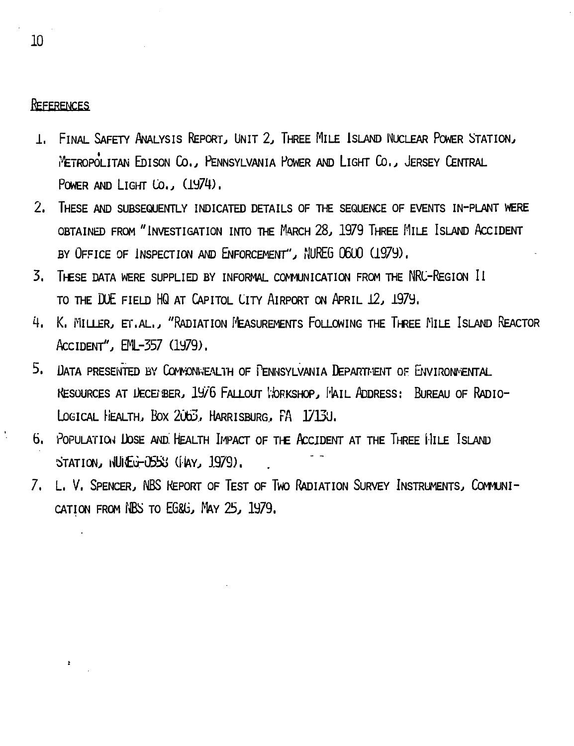#### **REFERENCES**

- **1. FINAL SAFETY ANALYSIS REPORT, UNIT 2, THREE MILE ISLAND NUCLEAR POWER STATION,,** feTROPOLITAN EblSON CO. , PENNSYLVANIA POWER AND LIGHT Co, , JERSEY CENTRAL **POWER AND LIGHT CO., (1974),**
- **2. THESE AND SUBSEQUENTLY INDICATED DETAILS OF THE SEQUENCE OF EVENTS IN-PLANT WERE OBTAINED FROM "INVESTIGATION INTO THE MARCH 28, 1979 THREE MLLE ISLAND ACCIDENT BY OFFICE OF INSPECTION AND ENFORCEMENT", NUREG 06U0 (1979).**
- **3. THESE DATA WERE SUPPLIED BY INFORMAL COMMUNICATION FROM THE NRC-REGION II TO THE DUE FIELD HQ AT CAPITOL CITY AIRPORT ON APRIL i2j I97y.**
- **4. K. MILLER, EI\AL., "RADIATION MEASUREMENTS FOLLOWING THE THREE MILE ISLAND REACTOR ACCIDENT", EML-357 (1979).**
- 5. DATA PRESENTED BY COMMONWEALTH OF PENNSYLVANIA DEPARTMENT OF ENVIRONMENTAL RESOURCES AT LECEIBER, 1976 FALLOUT *WORKSHOP*, MAIL ADDRESS: BUREAU OF RADIO-**LOGICAL HEALTH, BOX 2ObZ5., HARRISBURG.. FA 17DU.**
- **6. POPULATION UOSE AND! HEALTH IMPACT OF THE ACCIDENT AT THE THREE MILE ISLAND** STATION, *NUILG-0553* (FAY, 1979).
- **7. L. V. SPENCER, NBS KEPORT OF TEST OF TWO RADIATION SURVEY INSTRUMENTS, COMMUNI-**CATION FROM NBS TO EG&G, MAY 25, 1979.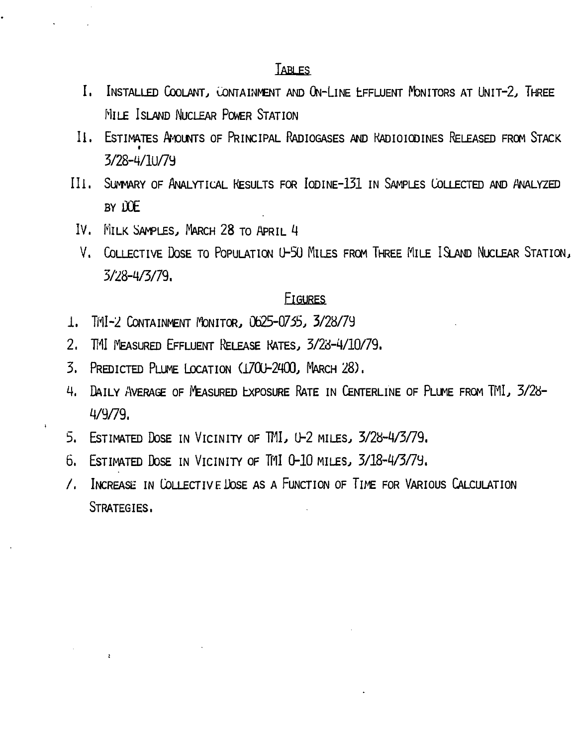### **TABLES**

- I. INSTALLED COOLANT, CONTAINMENT AND ON-LINE LEFLUENT MONITORS AT UNIT-2, THREE MILE ISLAND NUCLEAR POWER STATION
- II. ESTIMATES AMOUNTS OF PRINCIPAL RADIOGASES AND KADIOIODINES RELEASED FROM STACK 3/28-4/lU/7y
- III. SUMMARY OF ANALYTICAL RESULTS FOR IODINE-131 IN SAMPLES COLLECTED AND ANALYZED BY DOE
- IV. MILK SAMPLES, MARCH 28 TO APRIL 4
- V. COLLECTIVE DOSE TO POPULATION U-50 MILES FROM THREE MILE ISLAND NUCLEAR STATION, 5/28-4/3/79.

# FIGURES

- 1. TMI-2 CONTAINMENT MONITOR, 0625-0735, 3/28/7y
- 2. TMI MEASURED EFFLUENT RELEASE RATES, 3/28-4/10/79.
- 3. PREDICTED PLUME LOCATION (1700-2400, MARCH 28).
- 4. DAILY AVERAGE OF MEASURED EXPOSURE RATE IN CENTERLINE OF PLUME FROM TMI, 3/28-4/9/79.
- 5. ESTIMATED DOSE IN VICINITY OF TML, U-2 MILES, 3/28-4/3/79.
- 6. ESTIMATED DOSE IN VICINITY OF ITU 0-10 MILES, 3/18-4/3/7y.
- /. INCREASE IN COLLECTIVE DOSE AS A FUNCTION OF TIME FOR VARIOUS CALCULATION STRATEGIES.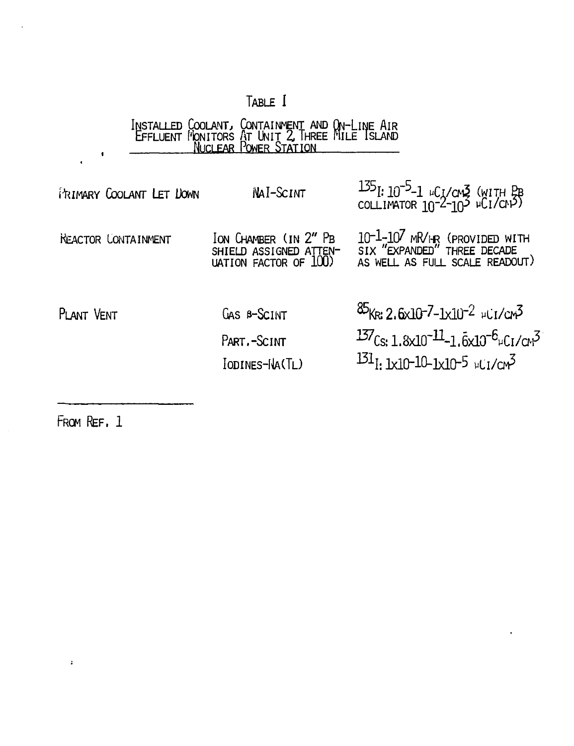# TABLE I

# INSTALLED COOLANT, CONTAINMENT AND ON-LINE AIR<br>EFFLUENT MONITORS AT UNIT 2, THREE MILE ISLAND<br>NUCLEAR POWER STATION

| FRIMARY COOLANT LET DOWN | NAI-SCINT                                                                | $^{135}$ I: 10 <sup>-5</sup> -1 µCI/CM3 (WITH PB<br>COLLIMATOR 10 <sup>-2-</sup> 10 <sup>3</sup> µCI/CN <sup>2</sup> )                                                                         |
|--------------------------|--------------------------------------------------------------------------|------------------------------------------------------------------------------------------------------------------------------------------------------------------------------------------------|
| KEACTOR CONTAINMENT      | Ion Chamber (in 2" Pb<br>SHIELD ASSIGNED ATTEN-<br>LIATION FACTOR OF 100 | $10^{-1}$ - $10^{7}$ MR/HR (PROVIDED WITH SIX "EXPANDED" THREE DECADE<br>AS WELL AS FULL SCALE READOUT)                                                                                        |
| PLANT VENT               | GAS B-SCINT<br>PART. - SCINT<br>IODINES-HA(TL)                           | $\frac{85}{16}$ (R: 2.6x10-7-1x10-2 µCr/cm3<br>$\frac{137}{1.8 \times 10^{-11}}$ -1.6x10 <sup>-6</sup> <sub>4</sub> Cr/c <sub>t</sub> 3<br>$^{131}$ I: 1x10-10-1x10-5 $\mu$ CI/CM <sup>3</sup> |

FROM REF. 1

 $\mathbf{r}$ 

 $\bullet$ 

ï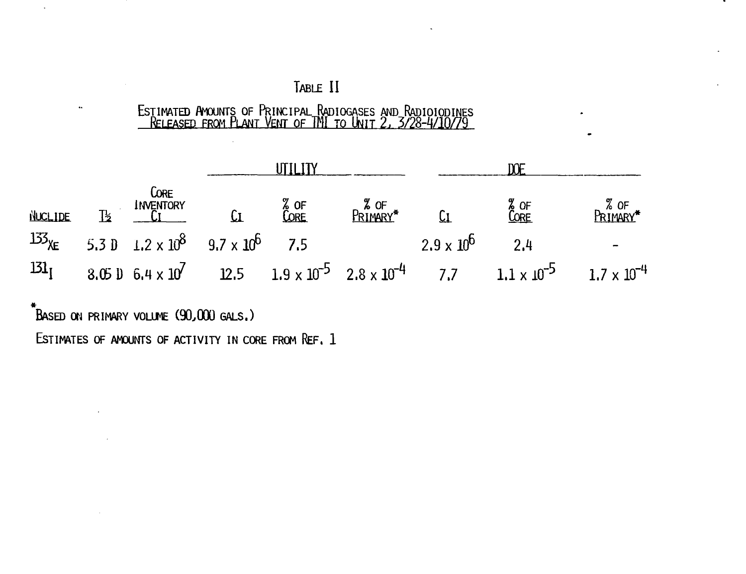# TABLE II

# ESTIMATED AMOUNTS OF PRINCIPAL RADIOGASES AND RADIOIODINES<br>RELEASED FROM PLANT VENT OF TMI TO UNIT 2, 3/28-4/10/79

| <b>NUCLIDE</b>   | $\mathbb{R}$ | <b>CORE</b><br>INVENTORY | CL                                                                | % of<br>Core | % of<br>Pri <u>mary</u> * Ci |                     | % OF<br>CORE                                                                                                                       | % OF<br>PRIMARY* |
|------------------|--------------|--------------------------|-------------------------------------------------------------------|--------------|------------------------------|---------------------|------------------------------------------------------------------------------------------------------------------------------------|------------------|
|                  |              |                          | $^{133}$ XE 5.3 D 1.2 x 10 <sup>8</sup> 9.7 x 10 <sup>6</sup> 7.5 |              |                              | $2.9 \times 10^{6}$ | 2.4                                                                                                                                |                  |
| 131 <sub>I</sub> |              |                          |                                                                   |              |                              |                     | 8.05 10 6.4 x 10 <sup>7</sup> 12.5 1.9 x 10 <sup>-5</sup> 2.8 x 10 <sup>-4</sup> 7.7 1.1 x 10 <sup>-5</sup> 1.7 x 10 <sup>-4</sup> |                  |

.<br>Based on primary volume (90,000 gals.)

 $\ddot{\phantom{a}}$ 

ESTIMATES OF AMOUNTS OF ACTIVITY IN CORE FROM REF. 1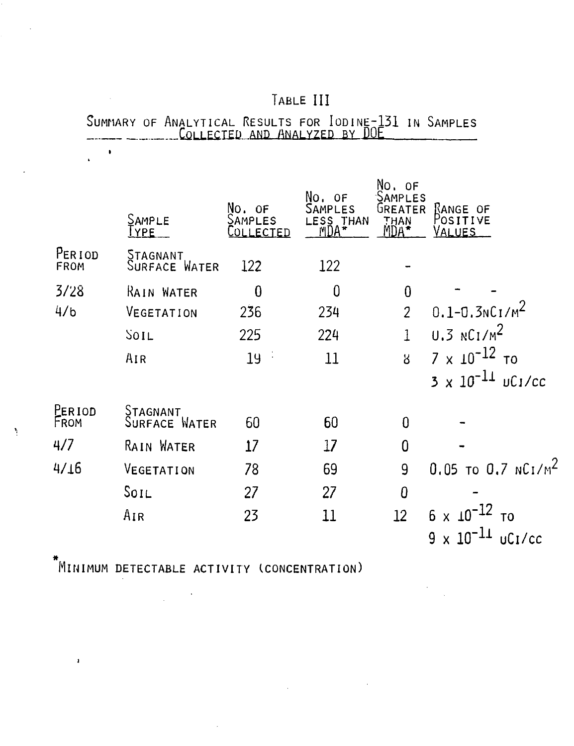|                |                           | ED.<br>AND.                   | MNALYZED<br>ВY                                | DUE                                                 |                                       |
|----------------|---------------------------|-------------------------------|-----------------------------------------------|-----------------------------------------------------|---------------------------------------|
|                | SAMPLE<br><u>I YPE</u>    | No. of<br>SAMPLES<br>OLLECTED | No. of<br><b>AMPLES</b><br>THAN<br>ESS<br>MDA | No. of<br>SAMPLES<br><b>UREATER</b><br>THAN<br>Mna* | KANGE OF<br>Positive<br>VALUES        |
| PERIOD<br>FROM | STAGNANT<br>Surface Water | 122                           | 122                                           |                                                     |                                       |
| 3/28           | RAIN WATER                | $\overline{0}$                | 0                                             | $\bf{0}$                                            |                                       |
| 4/b            | VEGETATION                | 236                           | 234                                           | $\overline{2}$                                      | $0.1 - 0.3 N C I/M^2$                 |
|                | <b>SOIL</b>               | 225                           | 224                                           | $\mathbf{1}$                                        | $0.3$ NC1/M <sup>2</sup>              |
|                | AIR                       | 19                            | 11                                            | $\overline{8}$                                      | $7 \times 10^{-12}$ то                |
|                |                           |                               |                                               |                                                     | $3 \times 10^{-11}$ uC1/cc            |
| Period<br>From | Stagnant<br>Surface Water | 60                            | 60                                            | 0                                                   |                                       |
| 4/7            | RAIN WATER                | 17                            | 17                                            | $\mathbf 0$                                         |                                       |
| 4/16           | VEGETATION                | 78                            | 69                                            | 9                                                   | $0.05$ To 0.7 NCI/M <sup>2</sup>      |
|                | $S$ <sub>OIL</sub>        | 27                            | 27                                            | $\theta$                                            |                                       |
|                | Air                       | 23                            | 11                                            | 12                                                  | $6 \times 10^{-12}$<br>T <sub>0</sub> |
|                |                           |                               |                                               |                                                     | $9 \times 10^{-11}$ uC1/cc            |

 $\label{eq:2.1} \frac{1}{\sqrt{2}}\int_{\mathbb{R}^3}\frac{1}{\sqrt{2}}\left(\frac{1}{\sqrt{2}}\right)^2\left(\frac{1}{\sqrt{2}}\right)^2\left(\frac{1}{\sqrt{2}}\right)^2\left(\frac{1}{\sqrt{2}}\right)^2\left(\frac{1}{\sqrt{2}}\right)^2.$ 

 $\label{eq:2} \frac{1}{\sqrt{2}}\sum_{i=1}^n\frac{1}{\sqrt{2\pi}}\sum_{i=1}^n\frac{1}{\sqrt{2\pi}}\sum_{i=1}^n\frac{1}{\sqrt{2\pi}}\sum_{i=1}^n\frac{1}{\sqrt{2\pi}}\sum_{i=1}^n\frac{1}{\sqrt{2\pi}}\sum_{i=1}^n\frac{1}{\sqrt{2\pi}}\sum_{i=1}^n\frac{1}{\sqrt{2\pi}}\sum_{i=1}^n\frac{1}{\sqrt{2\pi}}\sum_{i=1}^n\frac{1}{\sqrt{2\pi}}\sum_{i=1}^n\frac{1}{$ 

SUMMARY OF ANALYTICAL RESULTS FOR IODINE-131 IN SAMPLES

TABLE HI

MINIMUM DETECTABLE ACTIVITY (CONCENTRATION)

 $\label{eq:2} \frac{1}{\sqrt{2}}\int_{\mathbb{R}^3}\frac{1}{\sqrt{2}}\left(\frac{1}{\sqrt{2}}\right)^2\frac{1}{\sqrt{2}}\,d\mu$ 

 $\mathbf{r}$ 

 $\sim 10$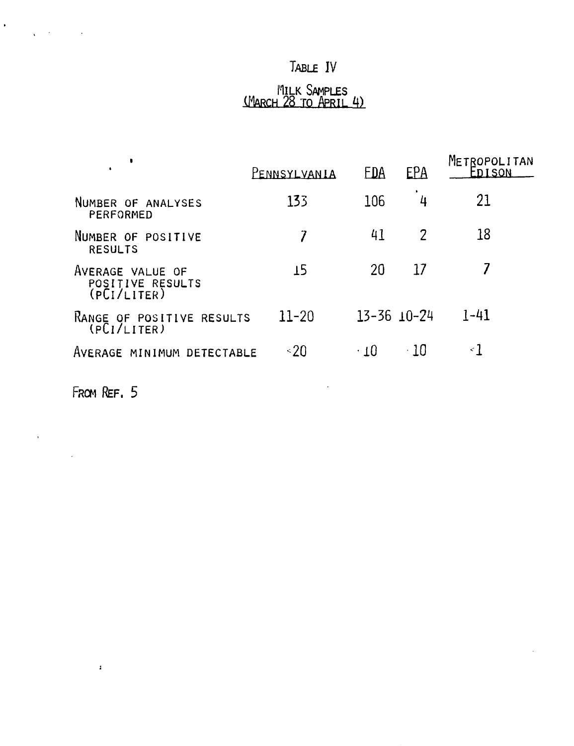# TABLE IV

#### I'ILLK SAMPLES (MARCH 28 TO APRIL 4)

| ٠                                                   | PENNSYLVANIA | <b>FDA</b> | EPA                 | METROPOLITAN<br>FNISON |
|-----------------------------------------------------|--------------|------------|---------------------|------------------------|
| NUMBER OF ANALYSES<br>PERFORMED                     | 133          | 106        | 4                   | 21                     |
| NUMBER OF POSITIVE<br><b>RESULTS</b>                |              | 41         | 2                   | 18                     |
| AVERAGE VALUE OF<br>POSITIVE RESULTS<br>(PCI/LITER) | 15           | 20         | 17                  |                        |
| RANGE OF POSITIVE RESULTS<br>(PL/LITER)             | $11 - 20$    |            | $13 - 36$ $10 - 24$ | $1 - 41$               |
| AVERAGE MINIMUM DETECTABLE                          | $\leq 20$    | $\cdot$ 10 | - 10                | <1                     |

 $\sim 10$ 

 $\mathbb{R}^2$ 

FROM REF. 5

 $\sim 10^{11}$  and  $\sim 10^{11}$ 

 $\mathcal{A}^{\text{max}}$ 

 $\frac{1}{2} \sum_{i=1}^n \frac{1}{2} \sum_{j=1}^n \frac{1}{2} \sum_{j=1}^n \frac{1}{2} \sum_{j=1}^n \frac{1}{2} \sum_{j=1}^n \frac{1}{2} \sum_{j=1}^n \frac{1}{2} \sum_{j=1}^n \frac{1}{2} \sum_{j=1}^n \frac{1}{2} \sum_{j=1}^n \frac{1}{2} \sum_{j=1}^n \frac{1}{2} \sum_{j=1}^n \frac{1}{2} \sum_{j=1}^n \frac{1}{2} \sum_{j=1}^n \frac{1}{2} \sum_{j=$ 

 $\label{eq:2.1} \frac{1}{\sqrt{2\pi}}\int_{-\infty}^{\infty} \frac{1}{\sqrt{2\pi}}\int_{-\infty}^{\infty} \frac{1}{\sqrt{2\pi}}\int_{-\infty}^{\infty} \frac{1}{\sqrt{2\pi}}\int_{-\infty}^{\infty} \frac{1}{\sqrt{2\pi}}\int_{-\infty}^{\infty} \frac{1}{\sqrt{2\pi}}\int_{-\infty}^{\infty} \frac{1}{\sqrt{2\pi}}\int_{-\infty}^{\infty} \frac{1}{\sqrt{2\pi}}\int_{-\infty}^{\infty} \frac{1}{\sqrt{2\pi}}\int_{-\infty}$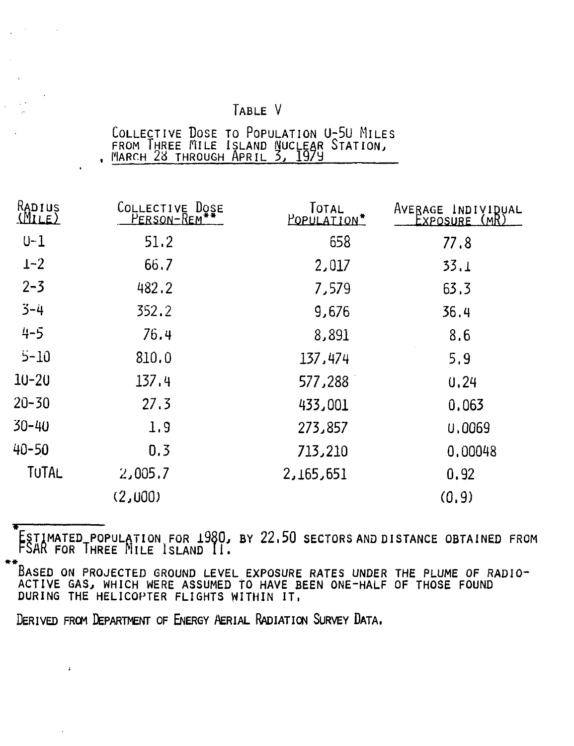TABLE V

| COLLECTIVE DOSE TO POPULATION U-50 MILES |  |  |
|------------------------------------------|--|--|
| FROM THREE MILE ISLAND NUCLEAR STATION,  |  |  |
|                                          |  |  |

| RADIUS<br><u>(MILE)</u> | COLLECTIVE DOSE<br>PERSON-REM | TOTAL<br><b>POPULATION*</b> | AVERAGE INDIVIDUAL<br>EXPOSURE (MR) |
|-------------------------|-------------------------------|-----------------------------|-------------------------------------|
| $U-1$                   | 51.2                          | 658                         | 77.8                                |
| $1 - 2$                 | 66.7                          | 2,017                       | 33.1                                |
| $2 - 3$                 | 482.2                         | 7,579                       | 63.3                                |
| $3 - 4$                 | 352.2                         | 9,676                       | 36.4                                |
| $4 - 5$                 | 76.4                          | 8,891                       | 8.6                                 |
| $5 - 10$                | 810.0                         | 137,474                     | 5.9                                 |
| $10 - 20$               | 137.4                         | 577,288                     | 0,24                                |
| $20 - 30$               | 27.3                          | 433,001                     | 0,063                               |
| $30 - 40$               | 1.9                           | 273,857                     | U,0069                              |
| 40-50                   | 0.3                           | 713,210                     | 0,00048                             |
| TUTAL                   | 2,005.7                       | 2,165,651                   | 0.92                                |
|                         | (2,000)                       |                             | (0, 9)                              |

5TIMATED POPULATION FOR 1980 . BY 22,5 0 SECTORS AND DISTANCE OBTAINED FROM >AR FOR THREE MILE ISLAND II .

• \* BASED ON PROJECTED GROUND LEVEL EXPOSURE RATES UNDER THE PLUME OF RADIO-ACTIVE GAS. WHICH WERE ASSUMED TO HAVE BEEN ONE"HALF OF THOSE FOUND DURING THE HELICOPTER FLIGHTS WITHIN IT ,

DERIVED FROM DEPARTMENT OF ENERGY AERIAL RADIATION SURVEY DATA,

 $\mathbf{r}$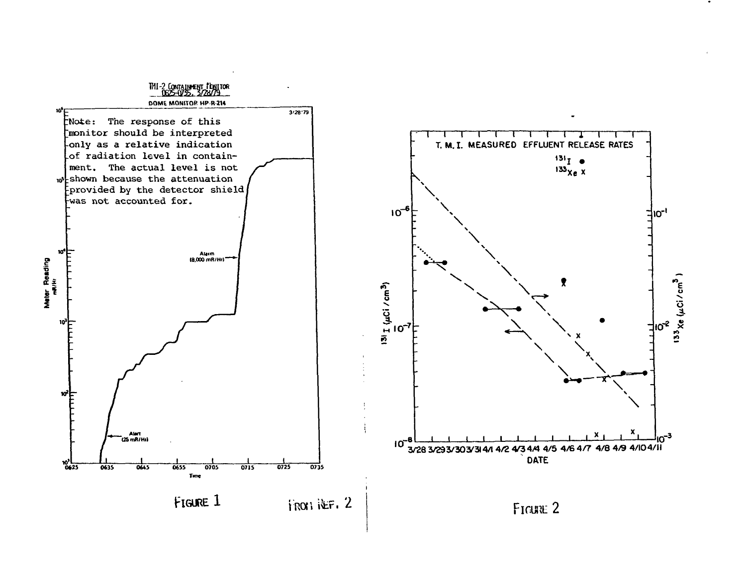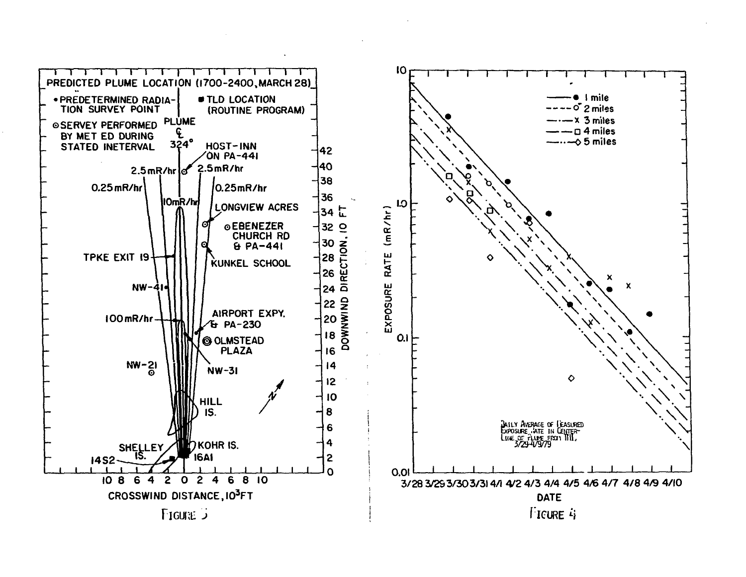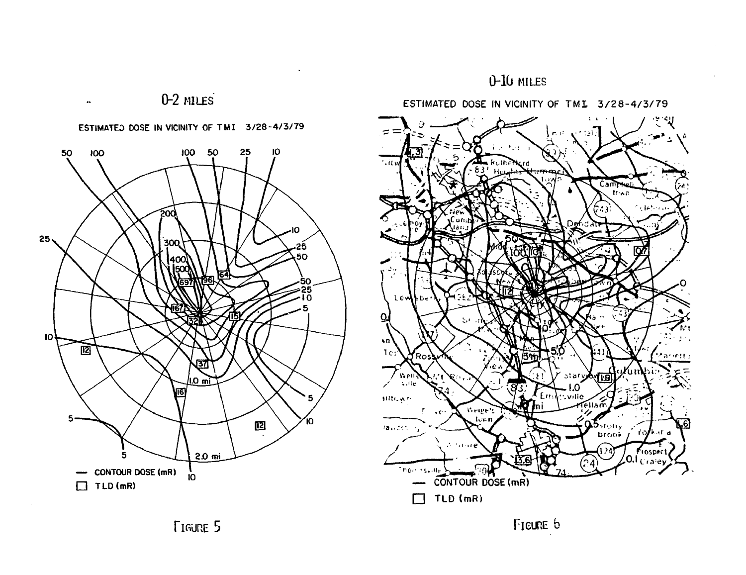





FIGURE 5 FIGURE 5